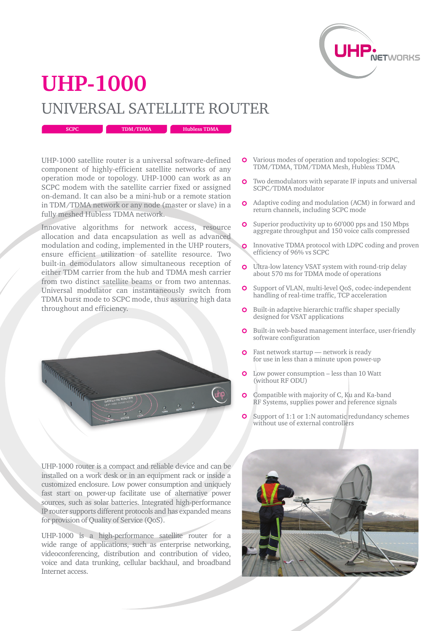

## **UHP-1000** UNIVERSAL SATELLITE ROUTER

**SCPC TDM/TDMA Hubless TDMA** 

UHP-1000 satellite router is a universal software-defined component of highly-efficient satellite networks of any operation mode or topology. UHP-1000 can work as an SCPC modem with the satellite carrier fixed or assigned on-demand. It can also be a mini-hub or a remote station in TDM/TDMA network or any node (master or slave) in a fully meshed Hubless TDMA network.

Innovative algorithms for network access, resource allocation and data encapsulation as well as advanced modulation and coding, implemented in the UHP routers, ensure efficient utilization of satellite resource. Two built-in demodulators allow simultaneous reception of either TDM carrier from the hub and TDMA mesh carrier from two distinct satellite beams or from two antennas. Universal modulator can instantaneously switch from TDMA burst mode to SCPC mode, thus assuring high data throughout and efficiency.



Various modes of operation and topologies: SCPC, TDM/TDMA, TDM/TDMA Mesh, Hubless TDMA

- $\overline{O}$ Two demodulators with separate IF inputs and universal SCPC/TDMA modulator
- Adaptive coding and modulation (ACM) in forward and return channels, including SCPC mode
- Superior productivity up to 60'000 pps and 150 Mbps  $\mathbf{o}$ aggregate throughput and 150 voice calls compressed
- Innovative TDMA protocol with LDPC coding and proven efficiency of 96% vs SCPC
- $\overline{O}$ Ultra-low latency VSAT system with round-trip delay about 570 ms for TDMA mode of operations
- $\Omega$ Support of VLAN, multi-level QoS, codec-independent handling of real-time traffic, TCP acceleration
- Built-in adaptive hierarchic traffic shaper specially  $\overline{O}$ designed for VSAT applications
- **O** Built-in web-based management interface, user-friendly software configuration
- Fast network startup network is ready  $\Omega$ for use in less than a minute upon power-up
- **O** Low power consumption less than 10 Watt (without RF ODU)
- Compatible with majority of C, Ku and Ka-band  $\Omega$ RF Systems, supplies power and reference signals
- Support of 1:1 or 1:N automatic redundancy schemes without use of external controllers

UHP-1000 router is a compact and reliable device and can be installed on a work desk or in an equipment rack or inside a customized enclosure. Low power consumption and uniquely fast start on power-up facilitate use of alternative power sources, such as solar batteries. Integrated high-performance IP router supports different protocols and has expanded means for provision of Quality of Service (QoS).

UHP-1000 is a high-performance satellite router for a wide range of applications, such as enterprise networking, videoconferencing, distribution and contribution of video, voice and data trunking, cellular backhaul, and broadband Internet access.